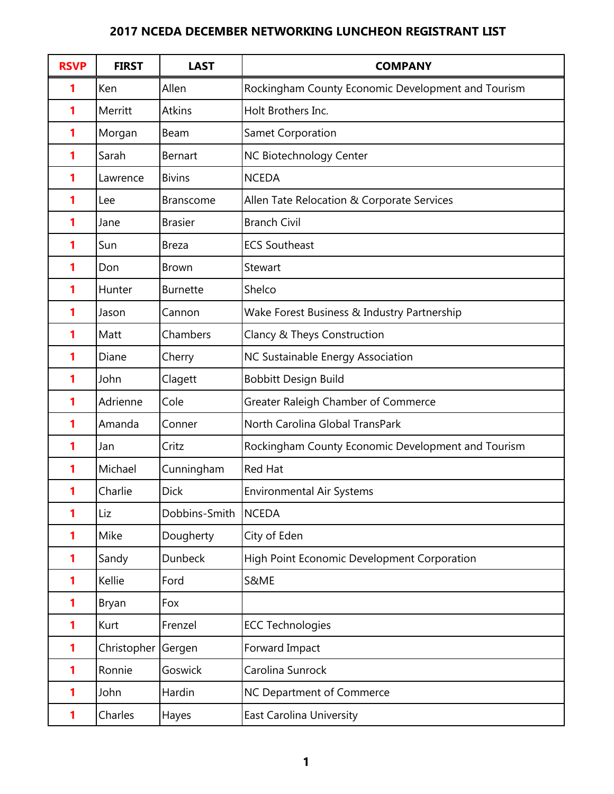| <b>RSVP</b> | <b>FIRST</b> | <b>LAST</b>      | <b>COMPANY</b>                                     |
|-------------|--------------|------------------|----------------------------------------------------|
| 1           | Ken          | Allen            | Rockingham County Economic Development and Tourism |
| 1           | Merritt      | <b>Atkins</b>    | Holt Brothers Inc.                                 |
| 1           | Morgan       | Beam             | Samet Corporation                                  |
| 1           | Sarah        | <b>Bernart</b>   | NC Biotechnology Center                            |
| 1           | Lawrence     | <b>Bivins</b>    | <b>NCEDA</b>                                       |
| 1           | Lee          | <b>Branscome</b> | Allen Tate Relocation & Corporate Services         |
| 1           | Jane         | <b>Brasier</b>   | <b>Branch Civil</b>                                |
| 1           | Sun          | <b>Breza</b>     | <b>ECS Southeast</b>                               |
| 1           | Don          | <b>Brown</b>     | Stewart                                            |
| 1           | Hunter       | <b>Burnette</b>  | Shelco                                             |
| 1           | Jason        | Cannon           | Wake Forest Business & Industry Partnership        |
| 1           | Matt         | Chambers         | Clancy & Theys Construction                        |
| 1           | Diane        | Cherry           | NC Sustainable Energy Association                  |
| 1           | John         | Clagett          | <b>Bobbitt Design Build</b>                        |
| 1           | Adrienne     | Cole             | Greater Raleigh Chamber of Commerce                |
| 1           | Amanda       | Conner           | North Carolina Global TransPark                    |
| 1           | Jan          | Critz            | Rockingham County Economic Development and Tourism |
| 1           | Michael      | Cunningham       | Red Hat                                            |
| 1           | Charlie      | <b>Dick</b>      | <b>Environmental Air Systems</b>                   |
| 1           | Liz          | Dobbins-Smith    | <b>NCEDA</b>                                       |
| 1           | Mike         | Dougherty        | City of Eden                                       |
| 1           | Sandy        | Dunbeck          | High Point Economic Development Corporation        |
| 1           | Kellie       | Ford             | S&ME                                               |
| 1           | Bryan        | Fox              |                                                    |
| 1           | Kurt         | Frenzel          | <b>ECC Technologies</b>                            |
| 1           | Christopher  | Gergen           | Forward Impact                                     |
| 1           | Ronnie       | Goswick          | Carolina Sunrock                                   |
| 1           | John         | Hardin           | NC Department of Commerce                          |
| 1           | Charles      | Hayes            | <b>East Carolina University</b>                    |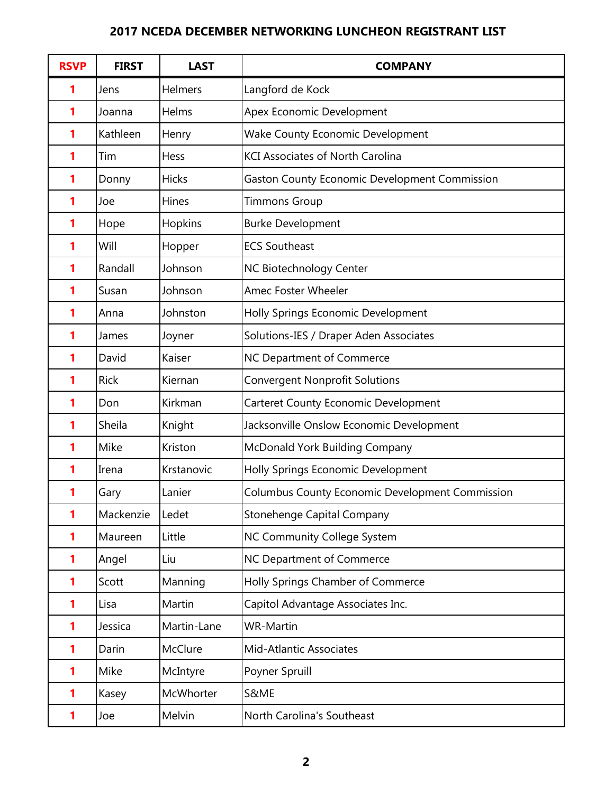| <b>RSVP</b> | <b>FIRST</b> | <b>LAST</b>  | <b>COMPANY</b>                                         |
|-------------|--------------|--------------|--------------------------------------------------------|
| 1           | Jens         | Helmers      | Langford de Kock                                       |
| 1           | Joanna       | Helms        | Apex Economic Development                              |
| 1           | Kathleen     | Henry        | <b>Wake County Economic Development</b>                |
| 1           | Tim          | Hess         | <b>KCI Associates of North Carolina</b>                |
| 1           | Donny        | <b>Hicks</b> | <b>Gaston County Economic Development Commission</b>   |
| 1           | Joe          | <b>Hines</b> | <b>Timmons Group</b>                                   |
| 1           | Hope         | Hopkins      | <b>Burke Development</b>                               |
| 1           | Will         | Hopper       | <b>ECS Southeast</b>                                   |
| 1           | Randall      | Johnson      | NC Biotechnology Center                                |
| 1           | Susan        | Johnson      | Amec Foster Wheeler                                    |
| 1           | Anna         | Johnston     | Holly Springs Economic Development                     |
| 1           | James        | Joyner       | Solutions-IES / Draper Aden Associates                 |
| 1           | David        | Kaiser       | NC Department of Commerce                              |
| 1           | <b>Rick</b>  | Kiernan      | <b>Convergent Nonprofit Solutions</b>                  |
| 1           | Don          | Kirkman      | <b>Carteret County Economic Development</b>            |
| 1           | Sheila       | Knight       | Jacksonville Onslow Economic Development               |
| 1           | Mike         | Kriston      | McDonald York Building Company                         |
| 1           | Irena        | Krstanovic   | Holly Springs Economic Development                     |
| 1           | Gary         | Lanier       | <b>Columbus County Economic Development Commission</b> |
| 1           | Mackenzie    | Ledet        | <b>Stonehenge Capital Company</b>                      |
| 1           | Maureen      | Little       | NC Community College System                            |
| 1           | Angel        | Liu          | NC Department of Commerce                              |
| 1           | Scott        | Manning      | Holly Springs Chamber of Commerce                      |
| 1           | Lisa         | Martin       | Capitol Advantage Associates Inc.                      |
| 1           | Jessica      | Martin-Lane  | <b>WR-Martin</b>                                       |
| 1           | Darin        | McClure      | Mid-Atlantic Associates                                |
| 1           | Mike         | McIntyre     | Poyner Spruill                                         |
| 1           | Kasey        | McWhorter    | S&ME                                                   |
| 1           | Joe          | Melvin       | North Carolina's Southeast                             |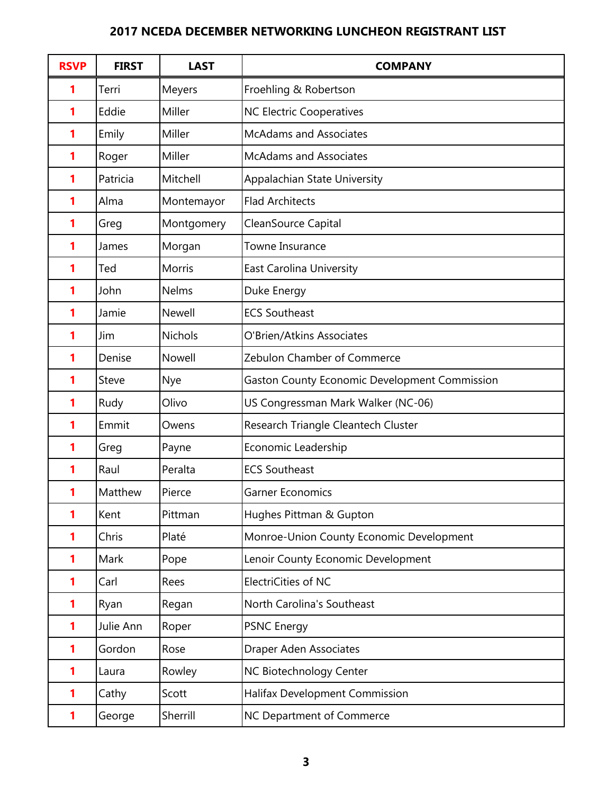| <b>RSVP</b> | <b>FIRST</b> | <b>LAST</b>   | <b>COMPANY</b>                                       |
|-------------|--------------|---------------|------------------------------------------------------|
| 1           | Terri        | Meyers        | Froehling & Robertson                                |
| 1           | Eddie        | Miller        | <b>NC Electric Cooperatives</b>                      |
| 1           | Emily        | Miller        | <b>McAdams and Associates</b>                        |
| 1           | Roger        | Miller        | <b>McAdams and Associates</b>                        |
| 1           | Patricia     | Mitchell      | Appalachian State University                         |
| 1           | Alma         | Montemayor    | <b>Flad Architects</b>                               |
| 1           | Greg         | Montgomery    | CleanSource Capital                                  |
| 1           | James        | Morgan        | Towne Insurance                                      |
| 1           | Ted          | <b>Morris</b> | <b>East Carolina University</b>                      |
| 1           | John         | Nelms         | Duke Energy                                          |
| 1           | Jamie        | Newell        | <b>ECS Southeast</b>                                 |
| 1           | Jim          | Nichols       | O'Brien/Atkins Associates                            |
| 1           | Denise       | Nowell        | Zebulon Chamber of Commerce                          |
| 1           | Steve        | Nye           | <b>Gaston County Economic Development Commission</b> |
| 1           | Rudy         | Olivo         | US Congressman Mark Walker (NC-06)                   |
| 1           | Emmit        | Owens         | Research Triangle Cleantech Cluster                  |
| 1           | Greg         | Payne         | Economic Leadership                                  |
| 1           | Raul         | Peralta       | <b>ECS Southeast</b>                                 |
| 1           | Matthew      | Pierce        | <b>Garner Economics</b>                              |
| 1           | Kent         | Pittman       | Hughes Pittman & Gupton                              |
| 1           | Chris        | Platé         | Monroe-Union County Economic Development             |
| 1           | Mark         | Pope          | Lenoir County Economic Development                   |
| 1           | Carl         | Rees          | <b>ElectriCities of NC</b>                           |
| 1           | Ryan         | Regan         | North Carolina's Southeast                           |
| 1           | Julie Ann    | Roper         | <b>PSNC Energy</b>                                   |
| 1           | Gordon       | Rose          | <b>Draper Aden Associates</b>                        |
| 1           | Laura        | Rowley        | NC Biotechnology Center                              |
| 1           | Cathy        | Scott         | Halifax Development Commission                       |
| 1           | George       | Sherrill      | NC Department of Commerce                            |